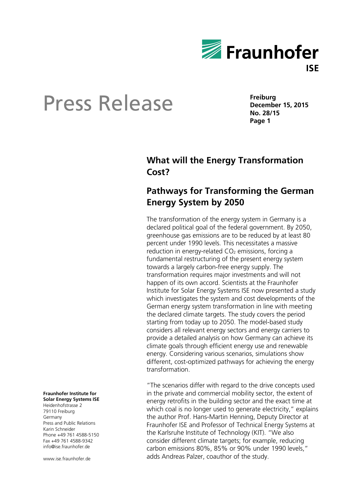

**Freiburg December 15, 2015 No. 28/15 Page 1**

### **What will the Energy Transformation Cost?**

### **Pathways for Transforming the German Energy System by 2050**

The transformation of the energy system in Germany is a declared political goal of the federal government. By 2050, greenhouse gas emissions are to be reduced by at least 80 percent under 1990 levels. This necessitates a massive reduction in energy-related  $CO<sub>2</sub>$  emissions, forcing a fundamental restructuring of the present energy system towards a largely carbon-free energy supply. The transformation requires major investments and will not happen of its own accord. Scientists at the Fraunhofer Institute for Solar Energy Systems ISE now presented a study which investigates the system and cost developments of the German energy system transformation in line with meeting the declared climate targets. The study covers the period starting from today up to 2050. The model-based study considers all relevant energy sectors and energy carriers to provide a detailed analysis on how Germany can achieve its climate goals through efficient energy use and renewable energy. Considering various scenarios, simulations show different, cost-optimized pathways for achieving the energy transformation.

"The scenarios differ with regard to the drive concepts used in the private and commercial mobility sector, the extent of energy retrofits in the building sector and the exact time at which coal is no longer used to generate electricity," explains the author Prof. Hans-Martin Henning, Deputy Director at Fraunhofer ISE and Professor of Technical Energy Systems at the Karlsruhe Institute of Technology (KIT). "We also consider different climate targets; for example, reducing carbon emissions 80%, 85% or 90% under 1990 levels," adds Andreas Palzer, coauthor of the study.

**Fraunhofer Institute for Solar Energy Systems ISE** Heidenhofstrasse 2

79110 Freiburg Germany Press and Public Relations Karin Schneider Phone +49 761 4588-5150 Fax +49 761 4588-9342 info@ise.fraunhofer.de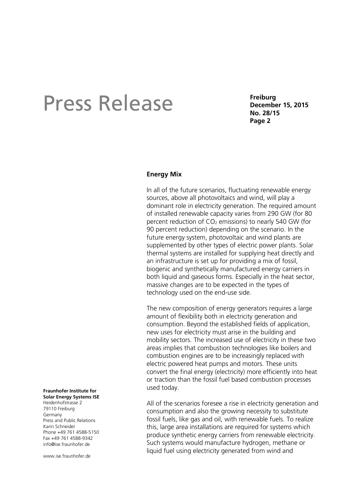**Freiburg December 15, 2015 No. 28/15 Page 2**

#### **Energy Mix**

In all of the future scenarios, fluctuating renewable energy sources, above all photovoltaics and wind, will play a dominant role in electricity generation. The required amount of installed renewable capacity varies from 290 GW (for 80 percent reduction of  $CO<sub>2</sub>$  emissions) to nearly 540 GW (for 90 percent reduction) depending on the scenario. In the future energy system, photovoltaic and wind plants are supplemented by other types of electric power plants. Solar thermal systems are installed for supplying heat directly and an infrastructure is set up for providing a mix of fossil, biogenic and synthetically manufactured energy carriers in both liquid and gaseous forms. Especially in the heat sector, massive changes are to be expected in the types of technology used on the end-use side.

The new composition of energy generators requires a large amount of flexibility both in electricity generation and consumption. Beyond the established fields of application, new uses for electricity must arise in the building and mobility sectors. The increased use of electricity in these two areas implies that combustion technologies like boilers and combustion engines are to be increasingly replaced with electric powered heat pumps and motors. These units convert the final energy (electricity) more efficiently into heat or traction than the fossil fuel based combustion processes used today.

All of the scenarios foresee a rise in electricity generation and consumption and also the growing necessity to substitute fossil fuels, like gas and oil, with renewable fuels. To realize this, large area installations are required for systems which produce synthetic energy carriers from renewable electricity. Such systems would manufacture hydrogen, methane or liquid fuel using electricity generated from wind and

#### **Fraunhofer Institute for Solar Energy Systems ISE**

Heidenhofstrasse 2 79110 Freiburg Germany Press and Public Relations Karin Schneider Phone +49 761 4588-5150 Fax +49 761 4588-9342 info@ise.fraunhofer.de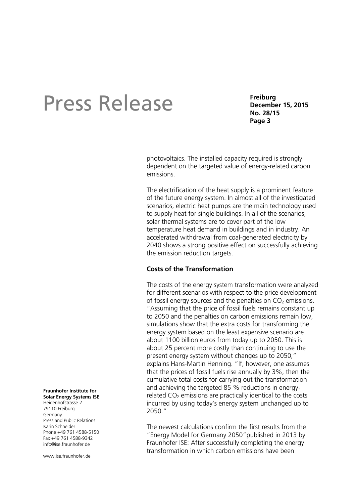**Freiburg December 15, 2015 No. 28/15 Page 3**

photovoltaics. The installed capacity required is strongly dependent on the targeted value of energy-related carbon emissions.

The electrification of the heat supply is a prominent feature of the future energy system. In almost all of the investigated scenarios, electric heat pumps are the main technology used to supply heat for single buildings. In all of the scenarios, solar thermal systems are to cover part of the low temperature heat demand in buildings and in industry. An accelerated withdrawal from coal-generated electricity by 2040 shows a strong positive effect on successfully achieving the emission reduction targets.

#### **Costs of the Transformation**

The costs of the energy system transformation were analyzed for different scenarios with respect to the price development of fossil energy sources and the penalties on  $CO<sub>2</sub>$  emissions. "Assuming that the price of fossil fuels remains constant up to 2050 and the penalties on carbon emissions remain low, simulations show that the extra costs for transforming the energy system based on the least expensive scenario are about 1100 billion euros from today up to 2050. This is about 25 percent more costly than continuing to use the present energy system without changes up to 2050," explains Hans-Martin Henning. "If, however, one assumes that the prices of fossil fuels rise annually by 3%, then the cumulative total costs for carrying out the transformation and achieving the targeted 85 % reductions in energyrelated  $CO<sub>2</sub>$  emissions are practically identical to the costs incurred by using today's energy system unchanged up to 2050."

The newest calculations confirm the first results from the "Energy Model for Germany 2050"published in 2013 by Fraunhofer ISE: After successfully completing the energy transformation in which carbon emissions have been

**Fraunhofer Institute for Solar Energy Systems ISE**

Heidenhofstrasse 2 79110 Freiburg Germany Press and Public Relations Karin Schneider Phone +49 761 4588-5150 Fax +49 761 4588-9342 info@ise.fraunhofer.de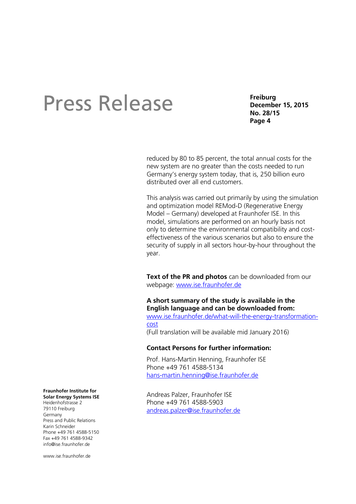**Freiburg December 15, 2015 No. 28/15 Page 4**

reduced by 80 to 85 percent, the total annual costs for the new system are no greater than the costs needed to run Germany's energy system today, that is, 250 billion euro distributed over all end customers.

This analysis was carried out primarily by using the simulation and optimization model REMod-D (Regenerative Energy Model – Germany) developed at Fraunhofer ISE. In this model, simulations are performed on an hourly basis not only to determine the environmental compatibility and costeffectiveness of the various scenarios but also to ensure the security of supply in all sectors hour-by-hour throughout the year.

**Text of the PR and photos** can be downloaded from our webpage: [www.ise.fraunhofer.de](http://www.ise.fraunhofer.de/)

### **A short summary of the study is available in the English language and can be downloaded from:**

[www.ise.fraunhofer.de/what-will-the-energy-transformation](www.ise.fraunhofer.de/what-will-the-energy-transformation-cost)[cost](www.ise.fraunhofer.de/what-will-the-energy-transformation-cost) (Full translation will be available mid January 2016)

#### **Contact Persons for further information:**

Prof. Hans-Martin Henning, Fraunhofer ISE Phone +49 761 4588-5134 [hans-martin.henning@ise.fraunhofer.de](mailto:hans-martin.henning@ise.fraunhofer.de)

Andreas Palzer, Fraunhofer ISE Phone +49 761 4588-5903 [andreas.palzer@ise.fraunhofer.de](mailto:andreas.palzer@ise.fraunhofer.de)

#### **Fraunhofer Institute for**

**Solar Energy Systems ISE** Heidenhofstrasse 2 79110 Freiburg Germany Press and Public Relations Karin Schneider Phone +49 761 4588-5150 Fax +49 761 4588-9342 info@ise.fraunhofer.de